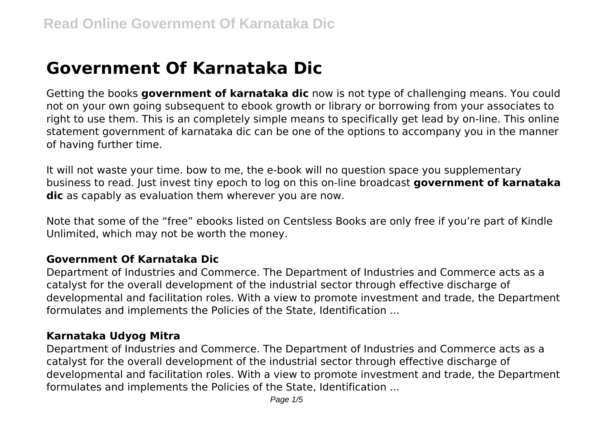# **Government Of Karnataka Dic**

Getting the books **government of karnataka dic** now is not type of challenging means. You could not on your own going subsequent to ebook growth or library or borrowing from your associates to right to use them. This is an completely simple means to specifically get lead by on-line. This online statement government of karnataka dic can be one of the options to accompany you in the manner of having further time.

It will not waste your time. bow to me, the e-book will no question space you supplementary business to read. Just invest tiny epoch to log on this on-line broadcast **government of karnataka dic** as capably as evaluation them wherever you are now.

Note that some of the "free" ebooks listed on Centsless Books are only free if you're part of Kindle Unlimited, which may not be worth the money.

#### **Government Of Karnataka Dic**

Department of Industries and Commerce. The Department of Industries and Commerce acts as a catalyst for the overall development of the industrial sector through effective discharge of developmental and facilitation roles. With a view to promote investment and trade, the Department formulates and implements the Policies of the State, Identification ...

#### **Karnataka Udyog Mitra**

Department of Industries and Commerce. The Department of Industries and Commerce acts as a catalyst for the overall development of the industrial sector through effective discharge of developmental and facilitation roles. With a view to promote investment and trade, the Department formulates and implements the Policies of the State, Identification ...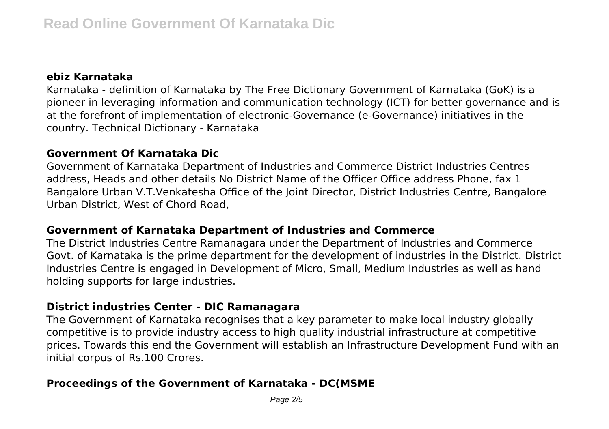## **ebiz Karnataka**

Karnataka - definition of Karnataka by The Free Dictionary Government of Karnataka (GoK) is a pioneer in leveraging information and communication technology (ICT) for better governance and is at the forefront of implementation of electronic-Governance (e-Governance) initiatives in the country. Technical Dictionary - Karnataka

## **Government Of Karnataka Dic**

Government of Karnataka Department of Industries and Commerce District Industries Centres address, Heads and other details No District Name of the Officer Office address Phone, fax 1 Bangalore Urban V.T.Venkatesha Office of the Joint Director, District Industries Centre, Bangalore Urban District, West of Chord Road,

## **Government of Karnataka Department of Industries and Commerce**

The District Industries Centre Ramanagara under the Department of Industries and Commerce Govt. of Karnataka is the prime department for the development of industries in the District. District Industries Centre is engaged in Development of Micro, Small, Medium Industries as well as hand holding supports for large industries.

#### **District industries Center - DIC Ramanagara**

The Government of Karnataka recognises that a key parameter to make local industry globally competitive is to provide industry access to high quality industrial infrastructure at competitive prices. Towards this end the Government will establish an Infrastructure Development Fund with an initial corpus of Rs.100 Crores.

# **Proceedings of the Government of Karnataka - DC(MSME**

Page 2/5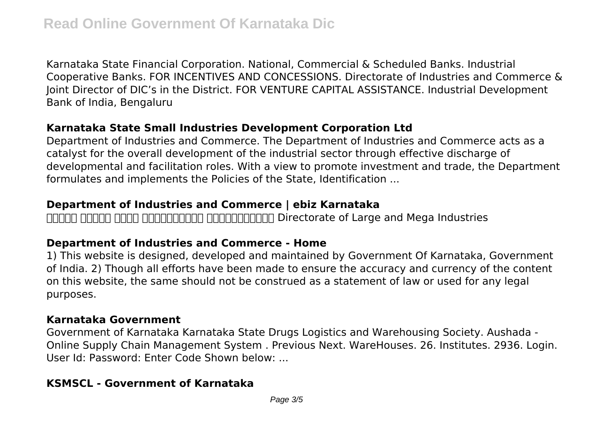Karnataka State Financial Corporation. National, Commercial & Scheduled Banks. Industrial Cooperative Banks. FOR INCENTIVES AND CONCESSIONS. Directorate of Industries and Commerce & Joint Director of DIC's in the District. FOR VENTURE CAPITAL ASSISTANCE. Industrial Development Bank of India, Bengaluru

# **Karnataka State Small Industries Development Corporation Ltd**

Department of Industries and Commerce. The Department of Industries and Commerce acts as a catalyst for the overall development of the industrial sector through effective discharge of developmental and facilitation roles. With a view to promote investment and trade, the Department formulates and implements the Policies of the State, Identification ...

# **Department of Industries and Commerce | ebiz Karnataka**

nonno nonno nonnonnonnono nonnonnonnon Directorate of Large and Mega Industries

# **Department of Industries and Commerce - Home**

1) This website is designed, developed and maintained by Government Of Karnataka, Government of India. 2) Though all efforts have been made to ensure the accuracy and currency of the content on this website, the same should not be construed as a statement of law or used for any legal purposes.

# **Karnataka Government**

Government of Karnataka Karnataka State Drugs Logistics and Warehousing Society. Aushada - Online Supply Chain Management System . Previous Next. WareHouses. 26. Institutes. 2936. Login. User Id: Password: Enter Code Shown below: ...

# **KSMSCL - Government of Karnataka**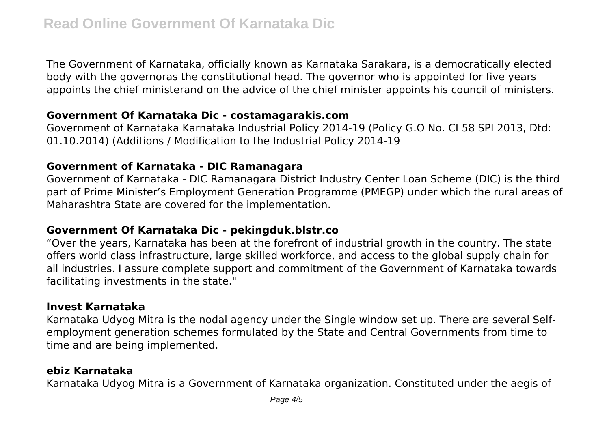The Government of Karnataka, officially known as Karnataka Sarakara, is a democratically elected body with the governoras the constitutional head. The governor who is appointed for five years appoints the chief ministerand on the advice of the chief minister appoints his council of ministers.

## **Government Of Karnataka Dic - costamagarakis.com**

Government of Karnataka Karnataka Industrial Policy 2014-19 (Policy G.O No. CI 58 SPI 2013, Dtd: 01.10.2014) (Additions / Modification to the Industrial Policy 2014-19

## **Government of Karnataka - DIC Ramanagara**

Government of Karnataka - DIC Ramanagara District Industry Center Loan Scheme (DIC) is the third part of Prime Minister's Employment Generation Programme (PMEGP) under which the rural areas of Maharashtra State are covered for the implementation.

## **Government Of Karnataka Dic - pekingduk.blstr.co**

"Over the years, Karnataka has been at the forefront of industrial growth in the country. The state offers world class infrastructure, large skilled workforce, and access to the global supply chain for all industries. I assure complete support and commitment of the Government of Karnataka towards facilitating investments in the state."

## **Invest Karnataka**

Karnataka Udyog Mitra is the nodal agency under the Single window set up. There are several Selfemployment generation schemes formulated by the State and Central Governments from time to time and are being implemented.

# **ebiz Karnataka**

Karnataka Udyog Mitra is a Government of Karnataka organization. Constituted under the aegis of